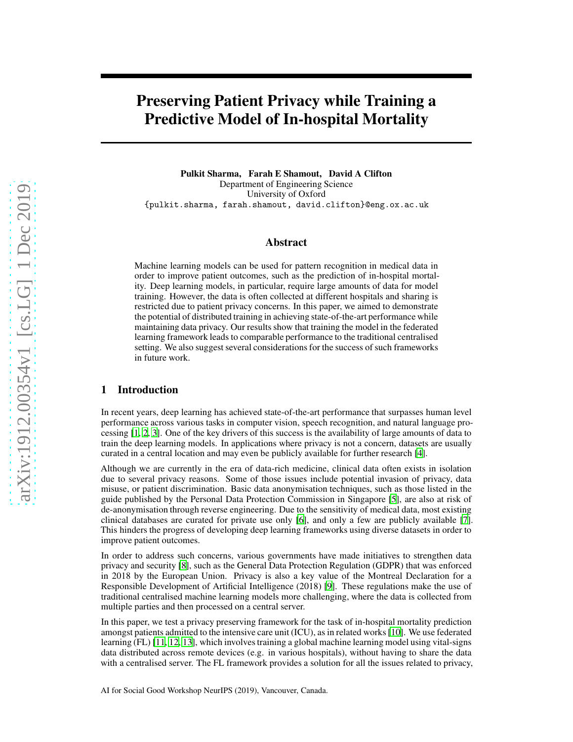# Preserving Patient Privacy while Training a Predictive Model of In-hospital Mortality

Pulkit Sharma, Farah E Shamout, David A Clifton Department of Engineering Science University of Oxford {pulkit.sharma, farah.shamout, david.clifton}@eng.ox.ac.uk

#### Abstract

Machine learning models can be used for pattern recognition in medical data in order to improve patient outcomes, such as the prediction of in-hospital mortality. Deep learning models, in particular, require large amounts of data for model training. However, the data is often collected at different hospitals and sharing is restricted due to patient privacy concerns. In this paper, we aimed to demonstrate the potential of distributed training in achieving state-of-the-art performance while maintaining data privacy. Our results show that training the model in the federated learning framework leads to comparable performance to the traditional centralised setting. We also suggest several considerations for the success of such frameworks in future work.

### 1 Introduction

In recent years, deep learning has achieved state-of-the-art performance that surpasses human level performance across various tasks in computer vision, speech recognition, and natural language processing [\[1](#page-4-0), [2,](#page-4-1) [3\]](#page-4-2). One of the key drivers of this success is the availability of large amounts of data to train the deep learning models. In applications where privacy is not a concern, datasets are usually curated in a central location and may even be publicly available for further research [\[4](#page-4-3)].

Although we are currently in the era of data-rich medicine, clinical data often exists in isolation due to several privacy reasons. Some of those issues include potential invasion of privacy, data misuse, or patient discrimination. Basic data anonymisation techniques, such as those listed in the guide published by the Personal Data Protection Commission in Singapore [\[5\]](#page-4-4), are also at risk of de-anonymisation through reverse engineering. Due to the sensitivity of medical data, most existing clinical databases are curated for private use only [\[6\]](#page-4-5), and only a few are publicly available [\[7\]](#page-4-6). This hinders the progress of developing deep learning frameworks using diverse datasets in order to improve patient outcomes.

In order to address such concerns, various governments have made initiatives to strengthen data privacy and security [\[8\]](#page-4-7), such as the General Data Protection Regulation (GDPR) that was enforced in 2018 by the European Union. Privacy is also a key value of the Montreal Declaration for a Responsible Development of Artificial Intelligence (2018) [\[9\]](#page-4-8). These regulations make the use of traditional centralised machine learning models more challenging, where the data is collected from multiple parties and then processed on a central server.

In this paper, we test a privacy preserving framework for the task of in-hospital mortality prediction amongst patients admitted to the intensive care unit (ICU), as in related works [\[10\]](#page-4-9). We use federated learning (FL) [\[11,](#page-4-10) [12,](#page-4-11) [13](#page-4-12)], which involves training a global machine learning model using vital-signs data distributed across remote devices (e.g. in various hospitals), without having to share the data with a centralised server. The FL framework provides a solution for all the issues related to privacy,

AI for Social Good Workshop NeurIPS (2019), Vancouver, Canada.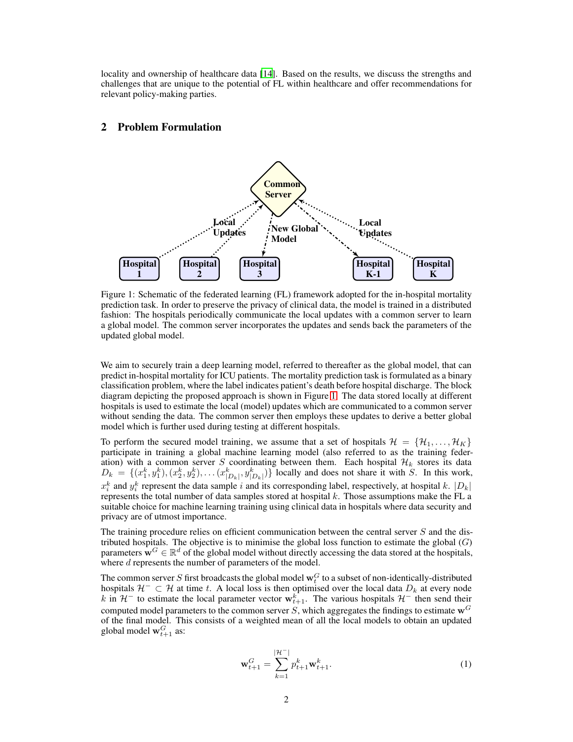locality and ownership of healthcare data [\[14](#page-4-13)]. Based on the results, we discuss the strengths and challenges that are unique to the potential of FL within healthcare and offer recommendations for relevant policy-making parties.

#### 2 Problem Formulation



<span id="page-1-0"></span>Figure 1: Schematic of the federated learning (FL) framework adopted for the in-hospital mortality prediction task. In order to preserve the privacy of clinical data, the model is trained in a distributed fashion: The hospitals periodically communicate the local updates with a common server to learn a global model. The common server incorporates the updates and sends back the parameters of the updated global model.

We aim to securely train a deep learning model, referred to thereafter as the global model, that can predict in-hospital mortality for ICU patients. The mortality prediction task is formulated as a binary classification problem, where the label indicates patient's death before hospital discharge. The block diagram depicting the proposed approach is shown in Figure [1.](#page-1-0) The data stored locally at different hospitals is used to estimate the local (model) updates which are communicated to a common server without sending the data. The common server then employs these updates to derive a better global model which is further used during testing at different hospitals.

To perform the secured model training, we assume that a set of hospitals  $\mathcal{H} = \{H_1, \ldots, H_K\}$ participate in training a global machine learning model (also referred to as the training federation) with a common server S coordinating between them. Each hospital  $\mathcal{H}_k$  stores its data  $D_k = \{(x_1^k, y_1^k), (x_2^k, y_2^k), \dots (x_{|D_k|}^k, y_{|D_k|}^k)\}\)$  locally and does not share it with S. In this work,  $x_i^k$  and  $y_i^k$  represent the data sample i and its corresponding label, respectively, at hospital k.  $|D_k|$ represents the total number of data samples stored at hospital  $k$ . Those assumptions make the FL a suitable choice for machine learning training using clinical data in hospitals where data security and privacy are of utmost importance.

The training procedure relies on efficient communication between the central server  $S$  and the distributed hospitals. The objective is to minimise the global loss function to estimate the global  $(G)$ parameters  $\mathbf{w}^G \in \mathbb{R}^d$  of the global model without directly accessing the data stored at the hospitals, where d represents the number of parameters of the model.

The common server S first broadcasts the global model  $\mathbf{w}_t^G$  to a subset of non-identically-distributed hospitals  $H^- \subset H$  at time t. A local loss is then optimised over the local data  $D_k$  at every node k in  $H^-$  to estimate the local parameter vector  $w_{t+1}^k$ . The various hospitals  $H^-$  then send their computed model parameters to the common server  $S$ , which aggregates the findings to estimate  $w<sup>G</sup>$ of the final model. This consists of a weighted mean of all the local models to obtain an updated global model  $\mathbf{w}_{t+1}^G$  as:

$$
\mathbf{w}_{t+1}^G = \sum_{k=1}^{|\mathcal{H}^-|} p_{t+1}^k \mathbf{w}_{t+1}^k.
$$
 (1)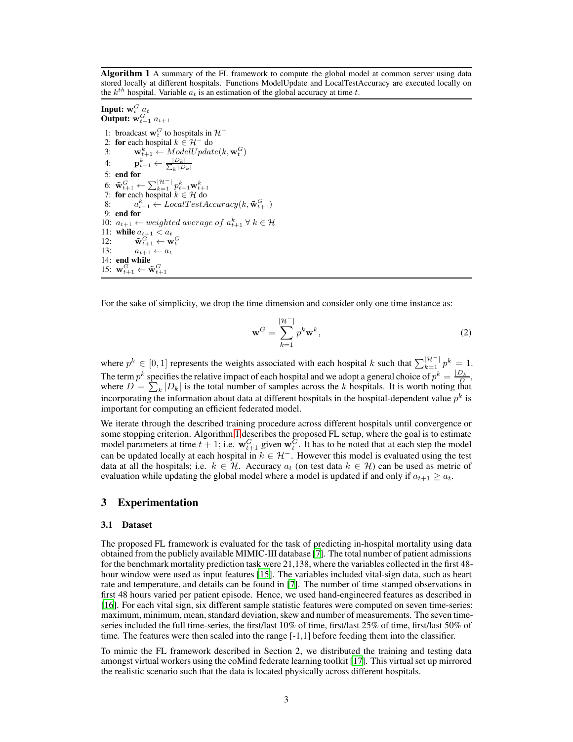Algorithm 1 A summary of the FL framework to compute the global model at common server using data stored locally at different hospitals. Functions ModelUpdate and LocalTestAccuracy are executed locally on the  $k^{th}$  hospital. Variable  $a_t$  is an estimation of the global accuracy at time t.

#### <span id="page-2-0"></span>Input:  $\mathbf{w}_t^G$   $a_t$ Output:  $w_{t+1}^G a_{t+1}$

1: broadcast  $\mathbf{w}_t^G$  to hospitals in  $\mathcal{H}^-$ 2: for each hospital  $k \in \mathcal{H}^-$  do 3:  $\mathbf{w}_{t+1}^k \leftarrow ModelUpdate(k, \mathbf{w}_t^G)$ 4:  $\mathbf{p}_{t+1}^k \leftarrow \frac{|D_k|}{\sum_k |D_k|}$ 5: end for 6:  $\tilde{\mathbf{w}}_{t+1}^G \leftarrow \sum_{k=1}^{|\mathcal{H}^-|} p_{t+1}^k \mathbf{w}_{t+1}^k$ <br>7: **for** each hospital  $k \in \mathcal{H}$  do  $8:$  $\mathbf{E}_{t+1}^k \leftarrow LocalTestAccuracy(k, \mathbf{\tilde{w}}_{t+1}^G)$ 9: end for 10:  $a_{t+1} \leftarrow weighted \ average \ of \ a_{t+1}^k \ \forall \ k \in \mathcal{H}$ 11: while  $a_{t+1} < a_t$ 12:  $\tilde{\mathbf{w}}_{t+1}^G \leftarrow \mathbf{w}_t^G$ 13:  $a_{t+1} \leftarrow a_t$ 14: end while 15:  $\mathbf{w}_{t+1}^G \leftarrow \tilde{\mathbf{w}}_{t+1}^G$ 

For the sake of simplicity, we drop the time dimension and consider only one time instance as:

$$
\mathbf{w}^G = \sum_{k=1}^{|\mathcal{H}^-|} p^k \mathbf{w}^k,
$$
 (2)

where  $p^k \in [0,1]$  represents the weights associated with each hospital k such that  $\sum_{k=1}^{|\mathcal{H}^{-}|} p^k = 1$ . The term  $p^k$  specifies the relative impact of each hospital and we adopt a general choice of  $p^k = \frac{|D_k|}{D}$ , where  $D = \sum_{k} |D_k|$  is the total number of samples across the k hospitals. It is worth noting that incorporating the information about data at different hospitals in the hospital-dependent value  $p^k$  is important for computing an efficient federated model.

We iterate through the described training procedure across different hospitals until convergence or some stopping criterion. Algorithm [1](#page-2-0) describes the proposed FL setup, where the goal is to estimate model parameters at time  $t + 1$ ; i.e.  $w_{t+1}^G$  given  $w_t^G$ . It has to be noted that at each step the model can be updated locally at each hospital in  $k \in \mathcal{H}^-$ . However this model is evaluated using the test data at all the hospitals; i.e.  $k \in \mathcal{H}$ . Accuracy  $a_t$  (on test data  $k \in \mathcal{H}$ ) can be used as metric of evaluation while updating the global model where a model is updated if and only if  $a_{t+1} \geq a_t$ .

#### 3 Experimentation

#### 3.1 Dataset

The proposed FL framework is evaluated for the task of predicting in-hospital mortality using data obtained from the publicly available MIMIC-III database [\[7](#page-4-6)]. The total number of patient admissions for the benchmark mortality prediction task were 21,138, where the variables collected in the first 48 hour window were used as input features [\[15\]](#page-4-14). The variables included vital-sign data, such as heart rate and temperature, and details can be found in [\[7](#page-4-6)]. The number of time stamped observations in first 48 hours varied per patient episode. Hence, we used hand-engineered features as described in [\[16](#page-4-15)]. For each vital sign, six different sample statistic features were computed on seven time-series: maximum, minimum, mean, standard deviation, skew and number of measurements. The seven timeseries included the full time-series, the first/last 10% of time, first/last 25% of time, first/last 50% of time. The features were then scaled into the range [-1,1] before feeding them into the classifier.

To mimic the FL framework described in Section 2, we distributed the training and testing data amongst virtual workers using the coMind federate learning toolkit [\[17](#page-4-16)]. This virtual set up mirrored the realistic scenario such that the data is located physically across different hospitals.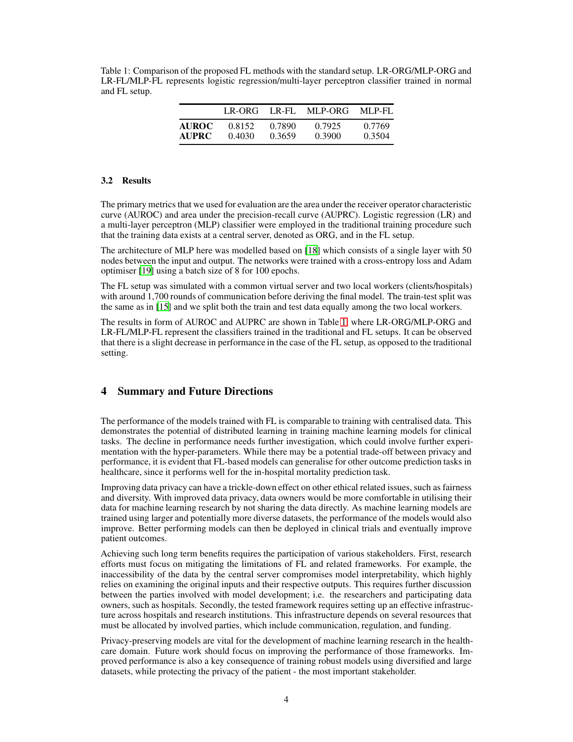<span id="page-3-0"></span>Table 1: Comparison of the proposed FL methods with the standard setup. LR-ORG/MLP-ORG and LR-FL/MLP-FL represents logistic regression/multi-layer perceptron classifier trained in normal and FL setup.

|              |        |        | LR-ORG LR-FL MLP-ORG MLP-FL |        |
|--------------|--------|--------|-----------------------------|--------|
| <b>AUROC</b> | 0.8152 | 0.7890 | 0.7925                      | 0.7769 |
| <b>AUPRC</b> | 0.4030 | 0.3659 | 0.3900                      | 0.3504 |

### 3.2 Results

The primary metrics that we used for evaluation are the area under the receiver operator characteristic curve (AUROC) and area under the precision-recall curve (AUPRC). Logistic regression (LR) and a multi-layer perceptron (MLP) classifier were employed in the traditional training procedure such that the training data exists at a central server, denoted as ORG, and in the FL setup.

The architecture of MLP here was modelled based on [\[18](#page-4-17)] which consists of a single layer with 50 nodes between the input and output. The networks were trained with a cross-entropy loss and Adam optimiser [\[19\]](#page-4-18) using a batch size of 8 for 100 epochs.

The FL setup was simulated with a common virtual server and two local workers (clients/hospitals) with around 1,700 rounds of communication before deriving the final model. The train-test split was the same as in [\[15\]](#page-4-14) and we split both the train and test data equally among the two local workers.

The results in form of AUROC and AUPRC are shown in Table [1,](#page-3-0) where LR-ORG/MLP-ORG and LR-FL/MLP-FL represent the classifiers trained in the traditional and FL setups. It can be observed that there is a slight decrease in performance in the case of the FL setup, as opposed to the traditional setting.

## 4 Summary and Future Directions

The performance of the models trained with FL is comparable to training with centralised data. This demonstrates the potential of distributed learning in training machine learning models for clinical tasks. The decline in performance needs further investigation, which could involve further experimentation with the hyper-parameters. While there may be a potential trade-off between privacy and performance, it is evident that FL-based models can generalise for other outcome prediction tasks in healthcare, since it performs well for the in-hospital mortality prediction task.

Improving data privacy can have a trickle-down effect on other ethical related issues, such as fairness and diversity. With improved data privacy, data owners would be more comfortable in utilising their data for machine learning research by not sharing the data directly. As machine learning models are trained using larger and potentially more diverse datasets, the performance of the models would also improve. Better performing models can then be deployed in clinical trials and eventually improve patient outcomes.

Achieving such long term benefits requires the participation of various stakeholders. First, research efforts must focus on mitigating the limitations of FL and related frameworks. For example, the inaccessibility of the data by the central server compromises model interpretability, which highly relies on examining the original inputs and their respective outputs. This requires further discussion between the parties involved with model development; i.e. the researchers and participating data owners, such as hospitals. Secondly, the tested framework requires setting up an effective infrastructure across hospitals and research institutions. This infrastructure depends on several resources that must be allocated by involved parties, which include communication, regulation, and funding.

Privacy-preserving models are vital for the development of machine learning research in the healthcare domain. Future work should focus on improving the performance of those frameworks. Improved performance is also a key consequence of training robust models using diversified and large datasets, while protecting the privacy of the patient - the most important stakeholder.